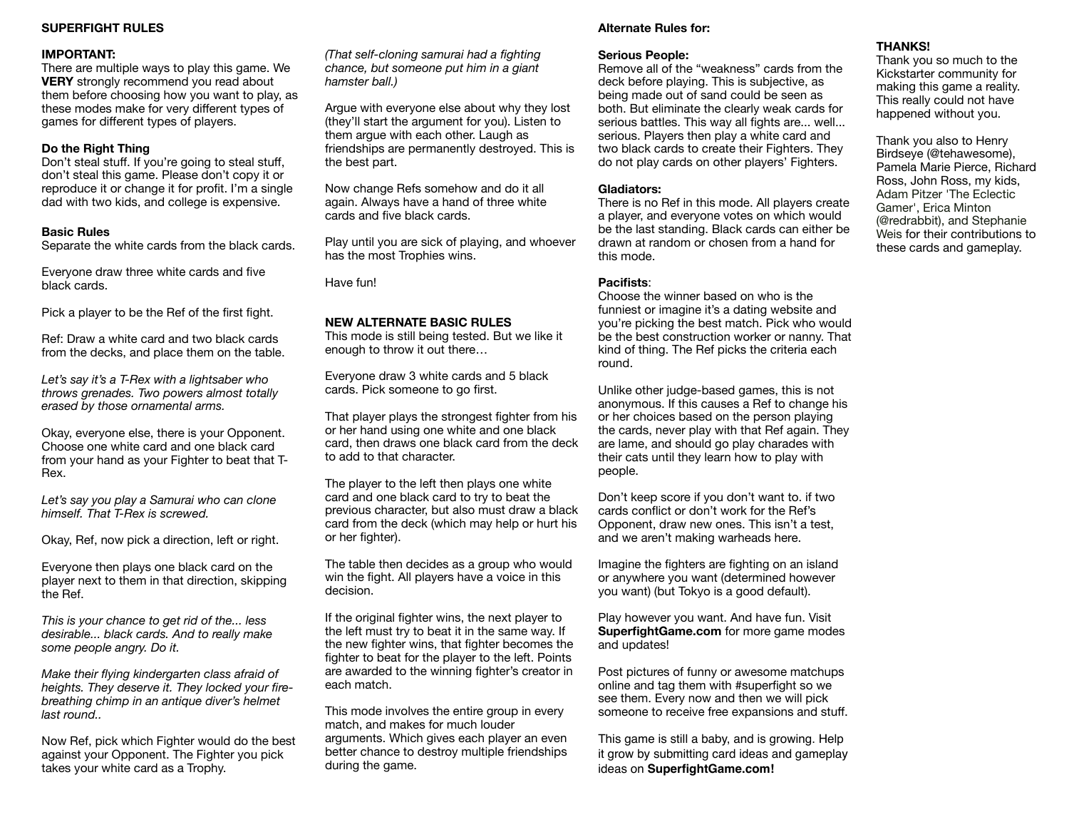# **SUPERFIGHT RULES**

# **IMPORTANT:**

There are multiple ways to play this game. We **VERY** strongly recommend you read about them before choosing how you want to play, as these modes make for very different types of games for different types of players.

# **Do the Right Thing**

Don't steal stuff. If you're going to steal stuff, don't steal this game. Please don't copy it or reproduce it or change it for profit. I'm a single dad with two kids, and college is expensive.

# **Basic Rules**

Separate the white cards from the black cards.

Everyone draw three white cards and five black cards.

Pick a player to be the Ref of the first fight.

Ref: Draw a white card and two black cards from the decks, and place them on the table.

*Let's say it's a T-Rex with a lightsaber who throws grenades. Two powers almost totally erased by those ornamental arms.*

Okay, everyone else, there is your Opponent. Choose one white card and one black card from your hand as your Fighter to beat that T-Rex.

*Let's say you play a Samurai who can clone himself. That T-Rex is screwed.*

Okay, Ref, now pick a direction, left or right.

Everyone then plays one black card on the player next to them in that direction, skipping the Ref.

*This is your chance to get rid of the... less desirable... black cards. And to really make some people angry. Do it.* 

*Make their flying kindergarten class afraid of heights. They deserve it. They locked your firebreathing chimp in an antique diver's helmet last round..* 

Now Ref, pick which Fighter would do the best against your Opponent. The Fighter you pick takes your white card as a Trophy.

*(That self-cloning samurai had a fighting chance, but someone put him in a giant hamster ball.)* 

Argue with everyone else about why they lost (they'll start the argument for you). Listen to them argue with each other. Laugh as friendships are permanently destroyed. This is the best part.

Now change Refs somehow and do it all again. Always have a hand of three white cards and five black cards.

Play until you are sick of playing, and whoever has the most Trophies wins.

Have fun!

#### **NEW ALTERNATE BASIC RULES**

This mode is still being tested. But we like it enough to throw it out there…

Everyone draw 3 white cards and 5 black cards. Pick someone to go first.

That player plays the strongest fighter from his or her hand using one white and one black card, then draws one black card from the deck to add to that character.

The player to the left then plays one white card and one black card to try to beat the previous character, but also must draw a black card from the deck (which may help or hurt his or her fighter).

The table then decides as a group who would win the fight. All players have a voice in this decision.

If the original fighter wins, the next player to the left must try to beat it in the same way. If the new fighter wins, that fighter becomes the fighter to beat for the player to the left. Points are awarded to the winning fighter's creator in each match.

This mode involves the entire group in every match, and makes for much louder arguments. Which gives each player an even better chance to destroy multiple friendships during the game.

## **Alternate Rules for:**

## **Serious People:**

Remove all of the "weakness" cards from the deck before playing. This is subjective, as being made out of sand could be seen as both. But eliminate the clearly weak cards for serious battles. This way all fights are... well... serious. Players then play a white card and two black cards to create their Fighters. They do not play cards on other players' Fighters.

# **Gladiators:**

There is no Ref in this mode. All players create a player, and everyone votes on which would be the last standing. Black cards can either be drawn at random or chosen from a hand for this mode.

## **Pacifists**:

Choose the winner based on who is the funniest or imagine it's a dating website and you're picking the best match. Pick who would be the best construction worker or nanny. That kind of thing. The Ref picks the criteria each round.

Unlike other judge-based games, this is not anonymous. If this causes a Ref to change his or her choices based on the person playing the cards, never play with that Ref again. They are lame, and should go play charades with their cats until they learn how to play with people.

Don't keep score if you don't want to. if two cards conflict or don't work for the Ref's Opponent, draw new ones. This isn't a test, and we aren't making warheads here.

Imagine the fighters are fighting on an island or anywhere you want (determined however you want) (but Tokyo is a good default).

Play however you want. And have fun. Visit **SuperfightGame.com** for more game modes and updates!

Post pictures of funny or awesome matchups online and tag them with #superfight so we see them. Every now and then we will pick someone to receive free expansions and stuff.

This game is still a baby, and is growing. Help it grow by submitting card ideas and gameplay ideas on **SuperfightGame.com!**

# **THANKS!**

Thank you so much to the Kickstarter community for making this game a reality. This really could not have happened without you.

Thank you also to Henry Birdseye (@tehawesome), Pamela Marie Pierce, Richard Ross, John Ross, my kids, Adam Pitzer 'The Eclectic Gamer', Erica Minton (@redrabbit), and Stephanie Weis for their contributions to these cards and gameplay.